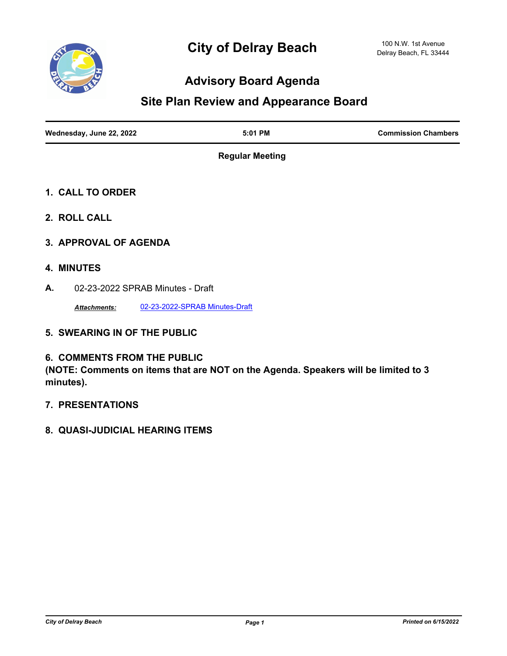

# **Advisory Board Agenda**

## **Site Plan Review and Appearance Board**

| Wednesday, June 22, 2022 | 5:01 PM | <b>Commission Chambers</b> |
|--------------------------|---------|----------------------------|
|                          |         |                            |

**Regular Meeting**

- **1. CALL TO ORDER**
- **2. ROLL CALL**
- **3. APPROVAL OF AGENDA**
- **4. MINUTES**
- **A.** 02-23-2022 SPRAB Minutes Draft

*Attachments:* [02-23-2022-SPRAB Minutes-Draft](http://delraybeach.legistar.com/gateway.aspx?M=F&ID=cc725bf5-fa4f-4a8c-af28-20a1e4295515.pdf)

**5. SWEARING IN OF THE PUBLIC**

#### **6. COMMENTS FROM THE PUBLIC**

**(NOTE: Comments on items that are NOT on the Agenda. Speakers will be limited to 3 minutes).**

- **7. PRESENTATIONS**
- **8. QUASI-JUDICIAL HEARING ITEMS**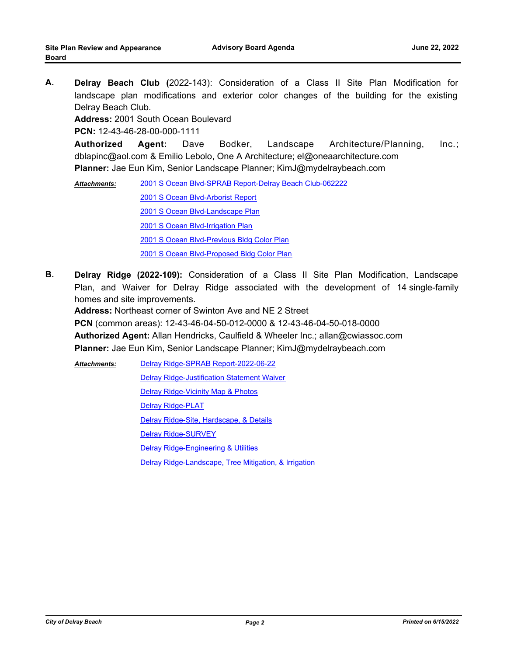**A. Delray Beach Club (**2022-143): Consideration of a Class II Site Plan Modification for landscape plan modifications and exterior color changes of the building for the existing Delray Beach Club.

**Address:** 2001 South Ocean Boulevard

**PCN:** 12-43-46-28-00-000-1111

**Authorized Agent:** Dave Bodker, Landscape Architecture/Planning, Inc.; dblapinc@aol.com & Emilio Lebolo, One A Architecture; el@oneaarchitecture.com **Planner:** Jae Eun Kim, Senior Landscape Planner; KimJ@mydelraybeach.com

[2001 S Ocean Blvd-SPRAB Report-Delray Beach Club-062222](http://delraybeach.legistar.com/gateway.aspx?M=F&ID=17db97de-d447-4acc-9788-a68d18083252.docx) [2001 S Ocean Blvd-Arborist Report](http://delraybeach.legistar.com/gateway.aspx?M=F&ID=9d000462-d3c1-4141-8cef-c70ccd021f50.pdf) [2001 S Ocean Blvd-Landscape Plan](http://delraybeach.legistar.com/gateway.aspx?M=F&ID=da59aaee-758c-48b6-ad84-368e163c2be6.pdf) [2001 S Ocean Blvd-Irrigation Plan](http://delraybeach.legistar.com/gateway.aspx?M=F&ID=d5e039ff-2e53-4b0c-956d-38683dcb0908.pdf) [2001 S Ocean Blvd-Previous Bldg Color Plan](http://delraybeach.legistar.com/gateway.aspx?M=F&ID=6cc0b88e-4feb-4a1d-abc9-2d556b96a4da.pdf) [2001 S Ocean Blvd-Proposed Bldg Color Plan](http://delraybeach.legistar.com/gateway.aspx?M=F&ID=e17959f2-a81c-475b-b79d-4995260883c7.pdf) *Attachments:*

**B. Delray Ridge (2022-109):** Consideration of a Class II Site Plan Modification, Landscape Plan, and Waiver for Delray Ridge associated with the development of 14 single-family homes and site improvements.

**Address:** Northeast corner of Swinton Ave and NE 2 Street

**PCN** (common areas): 12-43-46-04-50-012-0000 & 12-43-46-04-50-018-0000 **Authorized Agent:** Allan Hendricks, Caulfield & Wheeler Inc.; allan@cwiassoc.com **Planner:** Jae Eun Kim, Senior Landscape Planner; KimJ@mydelraybeach.com

[Delray Ridge-SPRAB Report-2022-06-22](http://delraybeach.legistar.com/gateway.aspx?M=F&ID=b6f60cf3-0aed-4129-ae1f-29d1803eb018.docx) [Delray Ridge-Justification Statement Waiver](http://delraybeach.legistar.com/gateway.aspx?M=F&ID=e1165719-bb5e-4079-8d0d-5cf315767fa2.pdf) [Delray Ridge-Vicinity Map & Photos](http://delraybeach.legistar.com/gateway.aspx?M=F&ID=d38c4ece-e565-4c95-9a49-c41b966bf572.pdf) [Delray Ridge-PLAT](http://delraybeach.legistar.com/gateway.aspx?M=F&ID=e0708f79-185e-4381-8992-7d1012e36334.pdf) [Delray Ridge-Site, Hardscape, & Details](http://delraybeach.legistar.com/gateway.aspx?M=F&ID=3eb2758e-cea7-42a9-ace1-2d4bdaa6b49c.pdf) [Delray Ridge-SURVEY](http://delraybeach.legistar.com/gateway.aspx?M=F&ID=98248475-73dc-4ed1-99f3-bf3e731412b3.pdf) [Delray Ridge-Engineering & Utilities](http://delraybeach.legistar.com/gateway.aspx?M=F&ID=b595c9d8-1386-45f0-b7a0-3e7b8c32e964.pdf) [Delray Ridge-Landscape, Tree Mitigation, & Irrigation](http://delraybeach.legistar.com/gateway.aspx?M=F&ID=88d115d5-907f-4c04-964b-1351c47ee91e.pdf) *Attachments:*